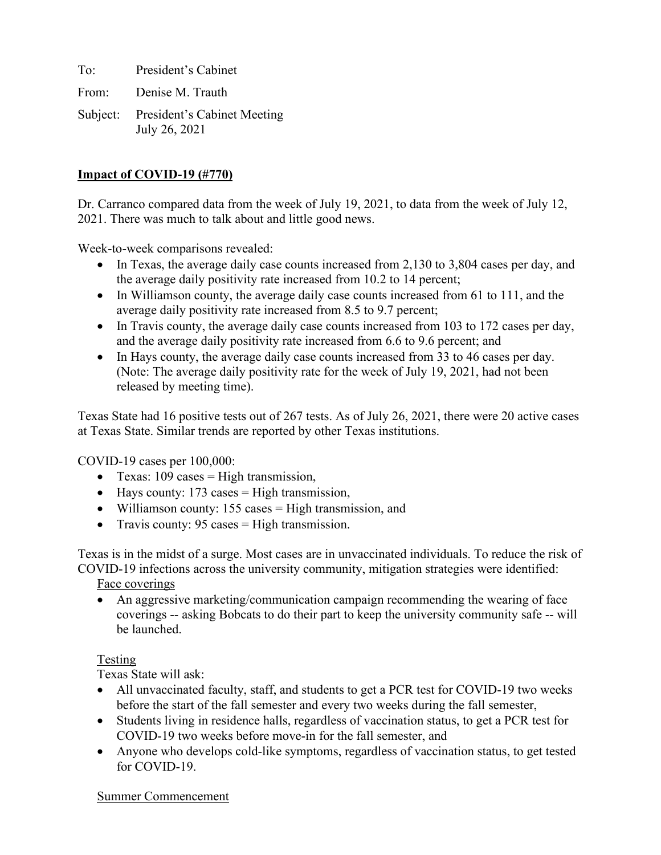To: President's Cabinet From: Denise M. Trauth Subject: President's Cabinet Meeting July 26, 2021

### **Impact of COVID-19 (#770)**

Dr. Carranco compared data from the week of July 19, 2021, to data from the week of July 12, 2021. There was much to talk about and little good news.

Week-to-week comparisons revealed:

- In Texas, the average daily case counts increased from 2,130 to 3,804 cases per day, and the average daily positivity rate increased from 10.2 to 14 percent;
- In Williamson county, the average daily case counts increased from 61 to 111, and the average daily positivity rate increased from 8.5 to 9.7 percent;
- In Travis county, the average daily case counts increased from 103 to 172 cases per day, and the average daily positivity rate increased from 6.6 to 9.6 percent; and
- In Hays county, the average daily case counts increased from 33 to 46 cases per day. (Note: The average daily positivity rate for the week of July 19, 2021, had not been released by meeting time).

Texas State had 16 positive tests out of 267 tests. As of July 26, 2021, there were 20 active cases at Texas State. Similar trends are reported by other Texas institutions.

COVID-19 cases per 100,000:

- Texas:  $109 \text{ cases} = \text{High transmission}$ ,
- Hays county: 173 cases = High transmission,
- Williamson county: 155 cases = High transmission, and
- Travis county:  $95 \text{ cases} = \text{High transmission}$ .

Texas is in the midst of a surge. Most cases are in unvaccinated individuals. To reduce the risk of COVID-19 infections across the university community, mitigation strategies were identified:

Face coverings

• An aggressive marketing/communication campaign recommending the wearing of face coverings -- asking Bobcats to do their part to keep the university community safe -- will be launched.

### Testing

Texas State will ask:

- All unvaccinated faculty, staff, and students to get a PCR test for COVID-19 two weeks before the start of the fall semester and every two weeks during the fall semester,
- Students living in residence halls, regardless of vaccination status, to get a PCR test for COVID-19 two weeks before move-in for the fall semester, and
- Anyone who develops cold-like symptoms, regardless of vaccination status, to get tested for COVID-19.

#### Summer Commencement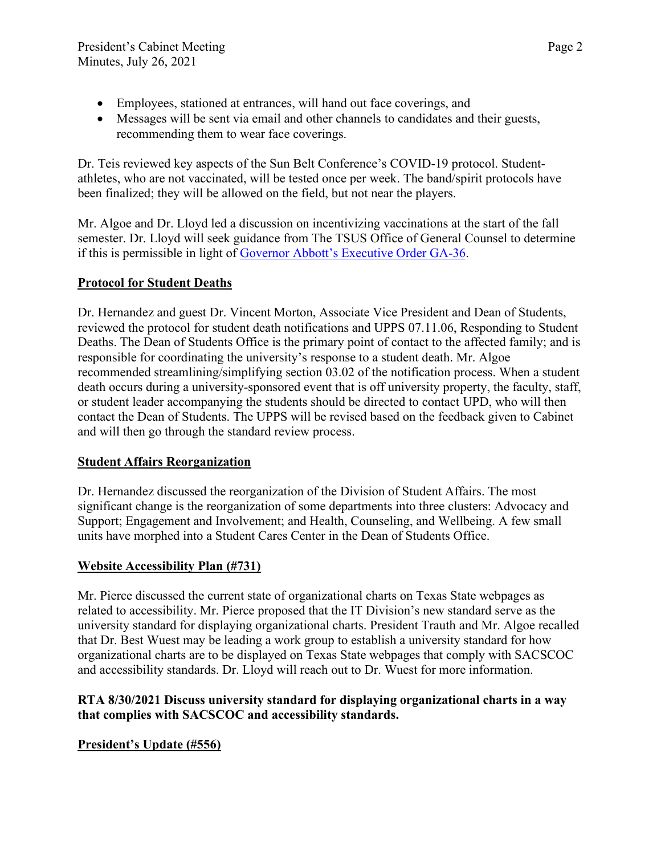- Employees, stationed at entrances, will hand out face coverings, and
- Messages will be sent via email and other channels to candidates and their guests, recommending them to wear face coverings.

Dr. Teis reviewed key aspects of the Sun Belt Conference's COVID-19 protocol. Studentathletes, who are not vaccinated, will be tested once per week. The band/spirit protocols have been finalized; they will be allowed on the field, but not near the players.

Mr. Algoe and Dr. Lloyd led a discussion on incentivizing vaccinations at the start of the fall semester. Dr. Lloyd will seek guidance from The TSUS Office of General Counsel to determine if this is permissible in light of [Governor Abbott's Executive Order GA-36.](https://gov.texas.gov/uploads/files/press/EO-GA-36_prohibition_on_mandating_face_coverings_response_to_COVID-19_disaster_IMAGE_05-18-2021.pdf)

### **Protocol for Student Deaths**

Dr. Hernandez and guest Dr. Vincent Morton, Associate Vice President and Dean of Students, reviewed the protocol for student death notifications and UPPS 07.11.06, Responding to Student Deaths. The Dean of Students Office is the primary point of contact to the affected family; and is responsible for coordinating the university's response to a student death. Mr. Algoe recommended streamlining/simplifying section 03.02 of the notification process. When a student death occurs during a university-sponsored event that is off university property, the faculty, staff, or student leader accompanying the students should be directed to contact UPD, who will then contact the Dean of Students. The UPPS will be revised based on the feedback given to Cabinet and will then go through the standard review process.

### **Student Affairs Reorganization**

Dr. Hernandez discussed the reorganization of the Division of Student Affairs. The most significant change is the reorganization of some departments into three clusters: Advocacy and Support; Engagement and Involvement; and Health, Counseling, and Wellbeing. A few small units have morphed into a Student Cares Center in the Dean of Students Office.

# **Website Accessibility Plan (#731)**

Mr. Pierce discussed the current state of organizational charts on Texas State webpages as related to accessibility. Mr. Pierce proposed that the IT Division's new standard serve as the university standard for displaying organizational charts. President Trauth and Mr. Algoe recalled that Dr. Best Wuest may be leading a work group to establish a university standard for how organizational charts are to be displayed on Texas State webpages that comply with SACSCOC and accessibility standards. Dr. Lloyd will reach out to Dr. Wuest for more information.

### **RTA 8/30/2021 Discuss university standard for displaying organizational charts in a way that complies with SACSCOC and accessibility standards.**

# **President's Update (#556)**